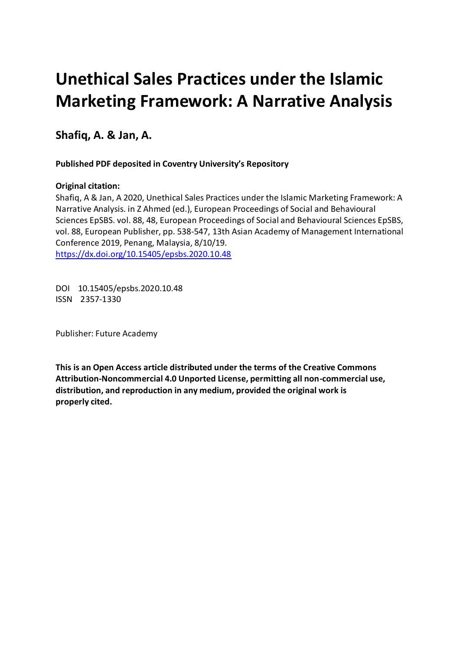# **Unethical Sales Practices under the Islamic Marketing Framework: A Narrative Analysis**

 **Shafiq, A. & Jan, A.** 

 **Published PDF deposited in Coventry University's Repository**

### **Original citation:**

 Shafiq, A & Jan, A 2020, Unethical Sales Practices under the Islamic Marketing Framework: A Narrative Analysis. in Z Ahmed (ed.), European Proceedings of Social and Behavioural Sciences EpSBS. vol. 88, 48, European Proceedings of Social and Behavioural Sciences EpSBS, vol. 88, European Publisher, pp. 538-547, 13th Asian Academy of Management International Conference 2019, Penang, Malaysia, 8/10/19. https://dx.doi.org/10.15405/epsbs.2020.10.48

 DOI 10.15405/epsbs.2020.10.48 ISSN 2357-1330

Publisher: Future Academy

 **This is an Open Access article distributed under the terms of the Creative Commons Attribution-Noncommercial 4.0 Unported License, permitting all non-commercial use, distribution, and reproduction in any medium, provided the original work is properly cited.**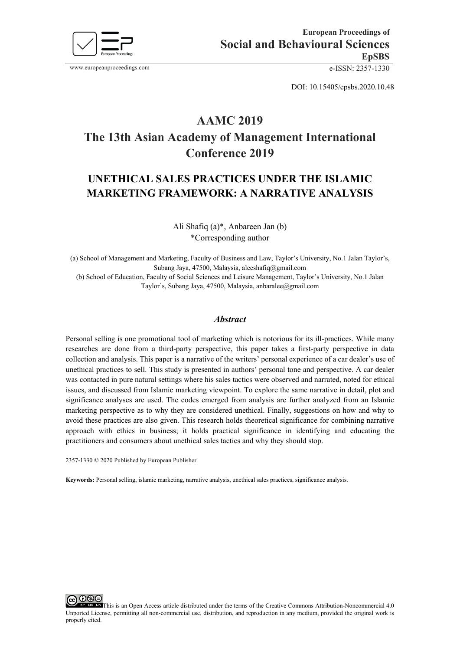

DOI: 10.15405/epsbs.2020.10.48

# **AAMC 2019 The 13th Asian Academy of Management International Conference 2019**

## **MARKETING FRAMEWORK: A NARRATIVE ANALYSIS UNETHICAL SALES PRACTICES UNDER THE ISLAMIC**

Ali Shafiq (a)\*, Anbareen Jan (b) \*Corresponding author

(a) School of Management and Marketing, Faculty of Business and Law, Taylor's University, No.1 Jalan Taylor's, Subang Jaya, 47500, Malaysia, aleeshafiq@gmail.com

 Taylor's, Subang Jaya, 47500, Malaysia, anbaralee@gmail.com (b) School of Education, Faculty of Social Sciences and Leisure Management, Taylor's University, No.1 Jalan

#### *Abstract*

 Personal selling is one promotional tool of marketing which is notorious for its ill-practices. While many researches are done from a third-party perspective, this paper takes a first-party perspective in data collection and analysis. This paper is a narrative of the writers' personal experience of a car dealer's use of was contacted in pure natural settings where his sales tactics were observed and narrated, noted for ethical marketing perspective as to why they are considered unethical. Finally, suggestions on how and why to avoid these practices are also given. This research holds theoretical significance for combining narrative approach with ethics in business; it holds practical significance in identifying and educating the practitioners and consumers about unethical sales tactics and why they should stop. unethical practices to sell. This study is presented in authors' personal tone and perspective. A car dealer issues, and discussed from Islamic marketing viewpoint. To explore the same narrative in detail, plot and significance analyses are used. The codes emerged from analysis are further analyzed from an Islamic

2357-1330 © 2020 Published by European Publisher.

Keywords: Personal selling, islamic marketing, narrative analysis, unethical sales practices, significance analysis,

Keywords: Personal selling, islamic marketing, narrative analysis, unethical sales practices, significance analysis.<br> **CO** O O O O This is an Open Access article distributed under the terms of the Creative Commons Attribut Unported License, permitting all non-commercial use, distribution, and reproduction in any medium, provided the original work is properly cited.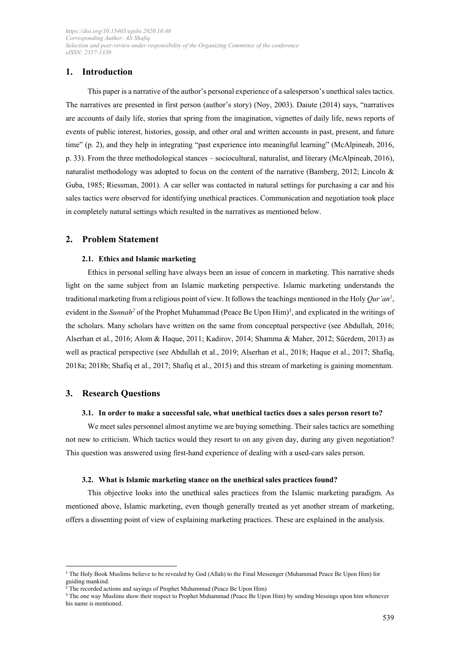#### **1. Introduction**

 The narratives are presented in first person (author's story) (Noy, 2003). Daiute (2014) says, "narratives are accounts of daily life, stories that spring from the imagination, vignettes of daily life, news reports of events of public interest, histories, gossip, and other oral and written accounts in past, present, and future p. 33). From the three methodological stances – sociocultural, naturalist, and literary (McAlpineab, 2016), Guba, 1985; Riessman, 2001). A car seller was contacted in natural settings for purchasing a car and his sales tactics were observed for identifying unethical practices. Communication and negotiation took place in completely natural settings which resulted in the narratives as mentioned below. This paper is a narrative of the author's personal experience of a salesperson's unethical sales tactics. time" (p. 2), and they help in integrating "past experience into meaningful learning" (McAlpineab, 2016, naturalist methodology was adopted to focus on the content of the narrative (Bamberg, 2012; Lincoln &

#### **2. Problem Statement**

#### **2.1. Ethics and Islamic marketing**

 light on the same subject from an Islamic marketing perspective. Islamic marketing understands the traditional marketing from a religious point of view. It follows the teachings mentioned in the Holy *Qur'an1* , evident in the *Sunnah*<sup>2</sup> of the Prophet Muhammad (Peace Be Upon Him)<sup>3</sup>, and explicated in the writings of Alserhan et al., 2016; Alom & Haque, 2011; Kadirov, 2014; Shamma & Maher, 2012; Süerdem, 2013) as 2018a; 2018b; Shafiq et al., 2017; Shafiq et al., 2015) and this stream of marketing is gaining momentum. Ethics in personal selling have always been an issue of concern in marketing. This narrative sheds the scholars. Many scholars have written on the same from conceptual perspective (see Abdullah, 2016; well as practical perspective (see Abdullah et al., 2019; Alserhan et al., 2018; Haque et al., 2017; Shafiq,

#### **3. Research Questions**

#### **3.1. In order to make a successful sale, what unethical tactics does a sales person resort to?**

 We meet sales personnel almost anytime we are buying something. Their sales tactics are something This question was answered using first-hand experience of dealing with a used-cars sales person. not new to criticism. Which tactics would they resort to on any given day, during any given negotiation?

#### **3.2. What is Islamic marketing stance on the unethical sales practices found?**

 mentioned above, Islamic marketing, even though generally treated as yet another stream of marketing, offers a dissenting point of view of explaining marketing practices. These are explained in the analysis. This objective looks into the unethical sales practices from the Islamic marketing paradigm. As

<sup>&</sup>lt;sup>1</sup> The Holy Book Muslims believe to be revealed by God (Allah) to the Final Messenger (Muhammad Peace Be Upon Him) for guiding mankind.

<sup>2</sup>The recorded actions and sayings of Prophet Muhammad (Peace Be Upon Him)

<sup>&</sup>lt;sup>3</sup> The one way Muslims show their respect to Prophet Muhammad (Peace Be Upon Him) by sending blessings upon him whenever his name is mentioned.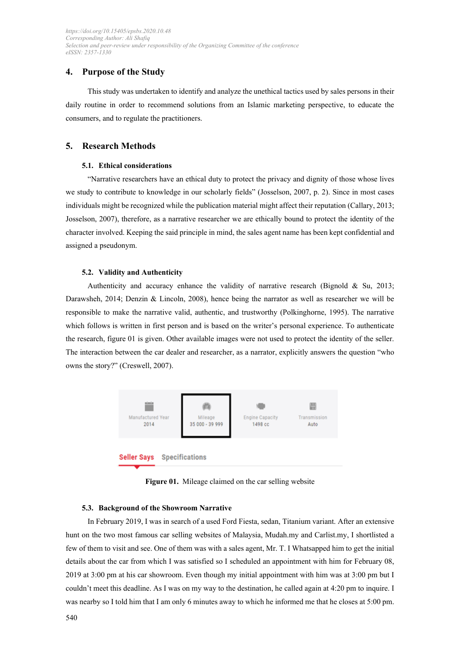#### **4. Purpose of the Study**

 This study was undertaken to identify and analyze the unethical tactics used by sales persons in their consumers, and to regulate the practitioners. daily routine in order to recommend solutions from an Islamic marketing perspective, to educate the

#### **5. Research Methods**

#### **5.1. Ethical considerations**

 "Narrative researchers have an ethical duty to protect the privacy and dignity of those whose lives we study to contribute to knowledge in our scholarly fields" (Josselson, 2007, p. 2). Since in most cases individuals might be recognized while the publication material might affect their reputation (Callary, 2013; character involved. Keeping the said principle in mind, the sales agent name has been kept confidential and Josselson, 2007), therefore, as a narrative researcher we are ethically bound to protect the identity of the assigned a pseudonym.

#### **5.2. Validity and Authenticity**

 Darawsheh, 2014; Denzin & Lincoln, 2008), hence being the narrator as well as researcher we will be which follows is written in first person and is based on the writer's personal experience. To authenticate the research, figure 01 is given. Other available images were not used to protect the identity of the seller. The interaction between the car dealer and researcher, as a narrator, explicitly answers the question "who Authenticity and accuracy enhance the validity of narrative research (Bignold & Su, 2013; responsible to make the narrative valid, authentic, and trustworthy (Polkinghorne, 1995). The narrative owns the story?" (Creswell, 2007).



**Figure 01.** Mileage claimed on the car selling website

#### **5.3. Background of the Showroom Narrative**

 In February 2019, I was in search of a used Ford Fiesta, sedan, Titanium variant. After an extensive hunt on the two most famous car selling websites of Malaysia, Mudah.my and Carlist.my, I shortlisted a few of them to visit and see. One of them was with a sales agent, Mr. T. I Whatsapped him to get the initial details about the car from which I was satisfied so I scheduled an appointment with him for February 08, 2019 at 3:00 pm at his car showroom. Even though my initial appointment with him was at 3:00 pm but I couldn't meet this deadline. As I was on my way to the destination, he called again at 4:20 pm to inquire. I was nearby so I told him that I am only 6 minutes away to which he informed me that he closes at 5:00 pm.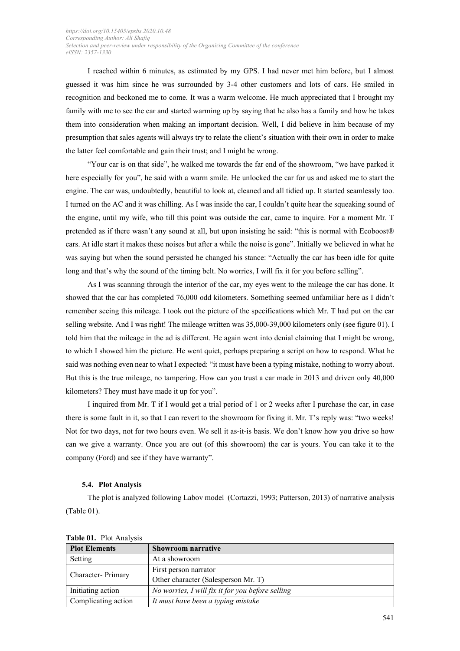I reached within 6 minutes, as estimated by my GPS. I had never met him before, but I almost recognition and beckoned me to come. It was a warm welcome. He much appreciated that I brought my family with me to see the car and started warming up by saying that he also has a family and how he takes them into consideration when making an important decision. Well, I did believe in him because of my presumption that sales agents will always try to relate the client's situation with their own in order to make the latter feel comfortable and gain their trust; and I might be wrong. guessed it was him since he was surrounded by 3-4 other customers and lots of cars. He smiled in

 here especially for you", he said with a warm smile. He unlocked the car for us and asked me to start the engine. The car was, undoubtedly, beautiful to look at, cleaned and all tidied up. It started seamlessly too. I turned on the AC and it was chilling. As I was inside the car, I couldn't quite hear the squeaking sound of the engine, until my wife, who till this point was outside the car, came to inquire. For a moment Mr. T cars. At idle start it makes these noises but after a while the noise is gone". Initially we believed in what he was saying but when the sound persisted he changed his stance: "Actually the car has been idle for quite long and that's why the sound of the timing belt. No worries, I will fix it for you before selling". "Your car is on that side", he walked me towards the far end of the showroom, "we have parked it pretended as if there wasn't any sound at all, but upon insisting he said: "this is normal with Ecoboost®

 As I was scanning through the interior of the car, my eyes went to the mileage the car has done. It showed that the car has completed 76,000 odd kilometers. Something seemed unfamiliar here as I didn't selling website. And I was right! The mileage written was 35,000-39,000 kilometers only (see figure 01). I told him that the mileage in the ad is different. He again went into denial claiming that I might be wrong, to which I showed him the picture. He went quiet, perhaps preparing a script on how to respond. What he said was nothing even near to what I expected: "it must have been a typing mistake, nothing to worry about. But this is the true mileage, no tampering. How can you trust a car made in 2013 and driven only 40,000 kilometers? They must have made it up for you". remember seeing this mileage. I took out the picture of the specifications which Mr. T had put on the car

 I inquired from Mr. T if I would get a trial period of 1 or 2 weeks after I purchase the car, in case there is some fault in it, so that I can revert to the showroom for fixing it. Mr. T's reply was: "two weeks! Not for two days, not for two hours even. We sell it as-it-is basis. We don't know how you drive so how can we give a warranty. Once you are out (of this showroom) the car is yours. You can take it to the company (Ford) and see if they have warranty".

#### **5.4. Plot Analysis**

 The plot is analyzed following Labov model (Cortazzi, 1993; Patterson, 2013) of narrative analysis (Table 01).

| <b>LADIC 01.</b> 110t / Mary 515 |                                                  |  |
|----------------------------------|--------------------------------------------------|--|
| <b>Plot Elements</b>             | <b>Showroom narrative</b>                        |  |
| Setting                          | At a showroom                                    |  |
| Character- Primary               | First person narrator                            |  |
|                                  | Other character (Salesperson Mr. T)              |  |
| Initiating action                | No worries, I will fix it for you before selling |  |
| Complicating action              | It must have been a typing mistake               |  |

 **Table 01.** Plot Analysis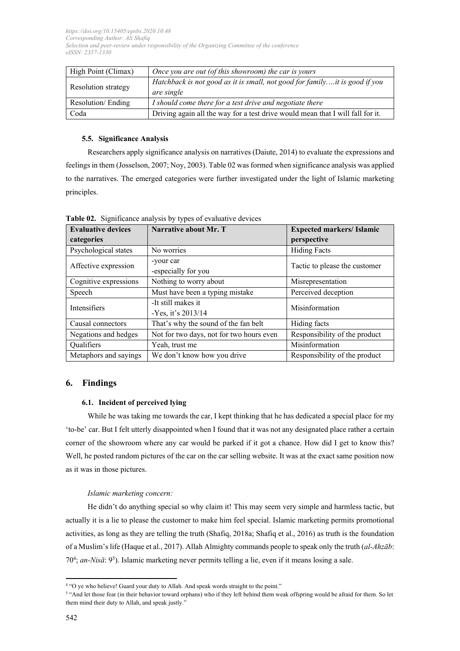| High Point (Climax) | Once you are out (of this showroom) the car is yours                                     |  |
|---------------------|------------------------------------------------------------------------------------------|--|
| Resolution strategy | Hatchback is not good as it is small, not good for familyit is good if you<br>are single |  |
| Resolution/Ending   | I should come there for a test drive and negotiate there                                 |  |
| Coda                | Driving again all the way for a test drive would mean that I will fall for it.           |  |

#### **5.5. Significance Analysis**

 Researchers apply significance analysis on narratives (Daiute, 2014) to evaluate the expressions and feelings in them (Josselson, 2007; Noy, 2003). Table 02 was formed when significance analysis was applied to the narratives. The emerged categories were further investigated under the light of Islamic marketing principles.

| <b>Evaluative devices</b> | Narrative about Mr. T                      | <b>Expected markers/ Islamic</b> |  |
|---------------------------|--------------------------------------------|----------------------------------|--|
| categories                |                                            | perspective                      |  |
| Psychological states      | No worries                                 | <b>Hiding Facts</b>              |  |
| Affective expression      | -your car<br>-especially for you           | Tactic to please the customer    |  |
| Cognitive expressions     | Nothing to worry about                     | Misrepresentation                |  |
| Speech                    | Must have been a typing mistake            | Perceived deception              |  |
| Intensifiers              | -It still makes it<br>-Yes. it's $2013/14$ | Misinformation                   |  |
| Causal connectors         | That's why the sound of the fan belt       | Hiding facts                     |  |
| Negations and hedges      | Not for two days, not for two hours even   | Responsibility of the product    |  |
| Qualifiers                | Yeah, trust me                             | Misinformation                   |  |
| Metaphors and sayings     | We don't know how you drive                | Responsibility of the product    |  |

 **Table 02.** Significance analysis by types of evaluative devices

#### **6. Findings**

#### **6.1. Incident of perceived lying**

 While he was taking me towards the car, I kept thinking that he has dedicated a special place for my 'to-be' car. But I felt utterly disappointed when I found that it was not any designated place rather a certain Well, he posted random pictures of the car on the car selling website. It was at the exact same position now as it was in those pictures. corner of the showroom where any car would be parked if it got a chance. How did I get to know this?

#### *Islamic marketing concern:*

 He didn't do anything special so why claim it! This may seem very simple and harmless tactic, but actually it is a lie to please the customer to make him feel special. Islamic marketing permits promotional activities, as long as they are telling the truth (Shafiq, 2018a; Shafiq et al., 2016) as truth is the foundation 704 ; *an-Nisā*: 95 ). Islamic marketing never permits telling a lie, even if it means losing a sale. of a Muslim's life (Haque et al., 2017). Allah Almighty commands people to speak only the truth (*al-Ahzāb*:

<sup>4 &</sup>quot;O ye who believe! Guard your duty to Allah. And speak words straight to the point."

<sup>&</sup>lt;sup>5</sup> "And let those fear (in their behavior toward orphans) who if they left behind them weak offspring would be afraid for them. So let them mind their duty to Allah, and speak justly."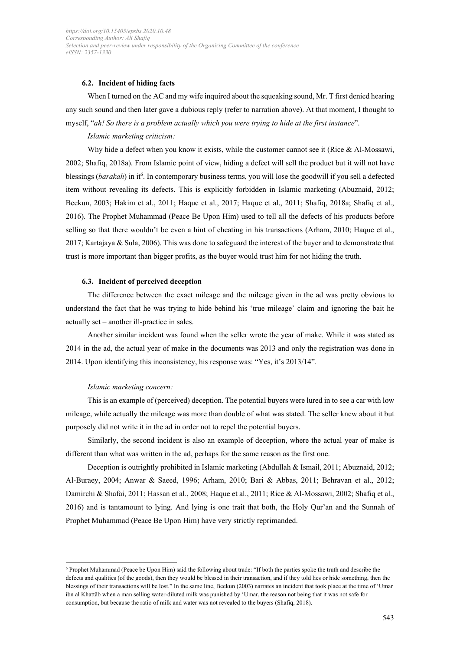#### **6.2. Incident of hiding facts**

 any such sound and then later gave a dubious reply (refer to narration above). At that moment, I thought to  myself, "*ah! So there is a problem actually which you were trying to hide at the first instance*". When I turned on the AC and my wife inquired about the squeaking sound, Mr. T first denied hearing

#### *Islamic marketing criticism:*

 Why hide a defect when you know it exists, while the customer cannot see it (Rice & Al-Mossawi, 2002; Shafiq, 2018a). From Islamic point of view, hiding a defect will sell the product but it will not have blessings (barakah) in it<sup>6</sup>. In contemporary business terms, you will lose the goodwill if you sell a defected 2016). The Prophet Muhammad (Peace Be Upon Him) used to tell all the defects of his products before selling so that there wouldn't be even a hint of cheating in his transactions (Arham, 2010; Haque et al., 2017; Kartajaya & Sula, 2006). This was done to safeguard the interest of the buyer and to demonstrate that trust is more important than bigger profits, as the buyer would trust him for not hiding the truth. item without revealing its defects. This is explicitly forbidden in Islamic marketing (Abuznaid, 2012; Beekun, 2003; Hakim et al., 2011; Haque et al., 2017; Haque et al., 2011; Shafiq, 2018a; Shafiq et al.,

#### **6.3. Incident of perceived deception**

 understand the fact that he was trying to hide behind his 'true mileage' claim and ignoring the bait he actually set – another ill-practice in sales. The difference between the exact mileage and the mileage given in the ad was pretty obvious to

 Another similar incident was found when the seller wrote the year of make. While it was stated as 2014 in the ad, the actual year of make in the documents was 2013 and only the registration was done in 2014. Upon identifying this inconsistency, his response was: "Yes, it's 2013/14".

#### *Islamic marketing concern:*

 This is an example of (perceived) deception. The potential buyers were lured in to see a car with low mileage, while actually the mileage was more than double of what was stated. The seller knew about it but purposely did not write it in the ad in order not to repel the potential buyers.

 Similarly, the second incident is also an example of deception, where the actual year of make is different than what was written in the ad, perhaps for the same reason as the first one.

 Deception is outrightly prohibited in Islamic marketing (Abdullah & Ismail, 2011; Abuznaid, 2012; Al-Buraey, 2004; Anwar & Saeed, 1996; Arham, 2010; Bari & Abbas, 2011; Behravan et al., 2012; Damirchi & Shafai, 2011; Hassan et al., 2008; Haque et al., 2011; Rice & Al-Mossawi, 2002; Shafiq et al., 2016) and is tantamount to lying. And lying is one trait that both, the Holy Qur'an and the Sunnah of Prophet Muhammad (Peace Be Upon Him) have very strictly reprimanded.

 ibn al Khattāb when a man selling water-diluted milk was punished by 'Umar, the reason not being that it was not safe for 6 Prophet Muhammad (Peace be Upon Him) said the following about trade: "If both the parties spoke the truth and describe the defects and qualities (of the goods), then they would be blessed in their transaction, and if they told lies or hide something, then the blessings of their transactions will be lost." In the same line, Beekun (2003) narrates an incident that took place at the time of 'Umar consumption, but because the ratio of milk and water was not revealed to the buyers (Shafiq, 2018).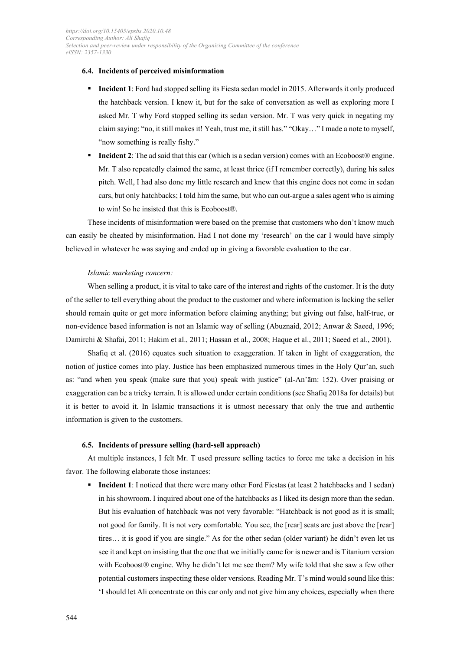#### **6.4. Incidents of perceived misinformation**

- **Incident 1**: Ford had stopped selling its Fiesta sedan model in 2015. Afterwards it only produced claim saying: "no, it still makes it! Yeah, trust me, it still has." "Okay…" I made a note to myself, "now something is really fishy." the hatchback version. I knew it, but for the sake of conversation as well as exploring more I asked Mr. T why Ford stopped selling its sedan version. Mr. T was very quick in negating my
- **Incident 2**: The ad said that this car (which is a sedan version) comes with an Ecoboost® engine. Mr. T also repeatedly claimed the same, at least thrice (if I remember correctly), during his sales pitch. Well, I had also done my little research and knew that this engine does not come in sedan cars, but only hatchbacks; I told him the same, but who can out-argue a sales agent who is aiming to win! So he insisted that this is Ecoboost®.

 These incidents of misinformation were based on the premise that customers who don't know much can easily be cheated by misinformation. Had I not done my 'research' on the car I would have simply believed in whatever he was saying and ended up in giving a favorable evaluation to the car.

#### *Islamic marketing concern:*

 When selling a product, it is vital to take care of the interest and rights of the customer. It is the duty of the seller to tell everything about the product to the customer and where information is lacking the seller should remain quite or get more information before claiming anything; but giving out false, half-true, or non-evidence based information is not an Islamic way of selling (Abuznaid, 2012; Anwar & Saeed, 1996; Damirchi & Shafai, 2011; Hakim et al., 2011; Hassan et al., 2008; Haque et al., 2011; Saeed et al., 2001).

 notion of justice comes into play. Justice has been emphasized numerous times in the Holy Qur'an, such as: "and when you speak (make sure that you) speak with justice" (al-An'ām: 152). Over praising or exaggeration can be a tricky terrain. It is allowed under certain conditions (see Shafiq 2018a for details) but information is given to the customers. Shafiq et al. (2016) equates such situation to exaggeration. If taken in light of exaggeration, the it is better to avoid it. In Islamic transactions it is utmost necessary that only the true and authentic

#### **6.5. Incidents of pressure selling (hard-sell approach)**

 At multiple instances, I felt Mr. T used pressure selling tactics to force me take a decision in his favor. The following elaborate those instances:

**Incident 1**: I noticed that there were many other Ford Fiestas (at least 2 hatchbacks and 1 sedan) in his showroom. I inquired about one of the hatchbacks as I liked its design more than the sedan. But his evaluation of hatchback was not very favorable: "Hatchback is not good as it is small; not good for family. It is not very comfortable. You see, the [rear] seats are just above the [rear] tires… it is good if you are single." As for the other sedan (older variant) he didn't even let us see it and kept on insisting that the one that we initially came for is newer and is Titanium version with Ecoboost® engine. Why he didn't let me see them? My wife told that she saw a few other potential customers inspecting these older versions. Reading Mr. T's mind would sound like this: 'I should let Ali concentrate on this car only and not give him any choices, especially when there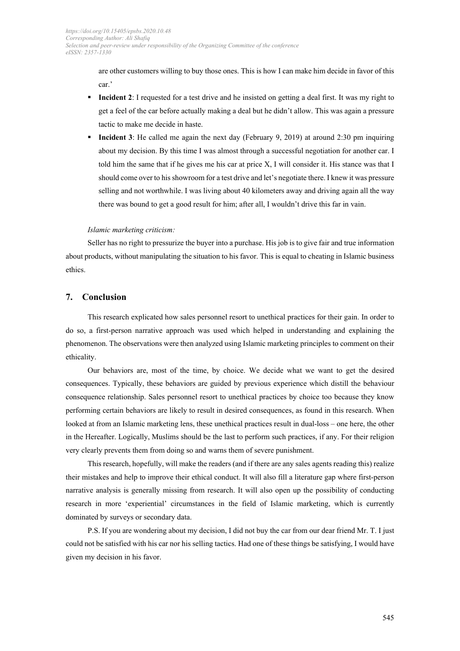are other customers willing to buy those ones. This is how I can make him decide in favor of this car.'

- **Incident 2**: I requested for a test drive and he insisted on getting a deal first. It was my right to get a feel of the car before actually making a deal but he didn't allow. This was again a pressure tactic to make me decide in haste.
- about my decision. By this time I was almost through a successful negotiation for another car. I told him the same that if he gives me his car at price X, I will consider it. His stance was that I should come over to his showroom for a test drive and let's negotiate there. I knew it was pressure selling and not worthwhile. I was living about 40 kilometers away and driving again all the way there was bound to get a good result for him; after all, I wouldn't drive this far in vain. **Incident 3**: He called me again the next day (February 9, 2019) at around 2:30 pm inquiring

#### *Islamic marketing criticism:*

 Seller has no right to pressurize the buyer into a purchase. His job is to give fair and true information about products, without manipulating the situation to his favor. This is equal to cheating in Islamic business ethics.

#### **7. Conclusion**

 This research explicated how sales personnel resort to unethical practices for their gain. In order to do so, a first-person narrative approach was used which helped in understanding and explaining the phenomenon. The observations were then analyzed using Islamic marketing principles to comment on their ethicality.

 Our behaviors are, most of the time, by choice. We decide what we want to get the desired consequence relationship. Sales personnel resort to unethical practices by choice too because they know performing certain behaviors are likely to result in desired consequences, as found in this research. When looked at from an Islamic marketing lens, these unethical practices result in dual-loss – one here, the other in the Hereafter. Logically, Muslims should be the last to perform such practices, if any. For their religion very clearly prevents them from doing so and warns them of severe punishment. consequences. Typically, these behaviors are guided by previous experience which distill the behaviour

 This research, hopefully, will make the readers (and if there are any sales agents reading this) realize their mistakes and help to improve their ethical conduct. It will also fill a literature gap where first-person narrative analysis is generally missing from research. It will also open up the possibility of conducting dominated by surveys or secondary data. research in more 'experiential' circumstances in the field of Islamic marketing, which is currently

 P.S. If you are wondering about my decision, I did not buy the car from our dear friend Mr. T. I just could not be satisfied with his car nor his selling tactics. Had one of these things be satisfying, I would have given my decision in his favor. given my decision in his favor.<br>
545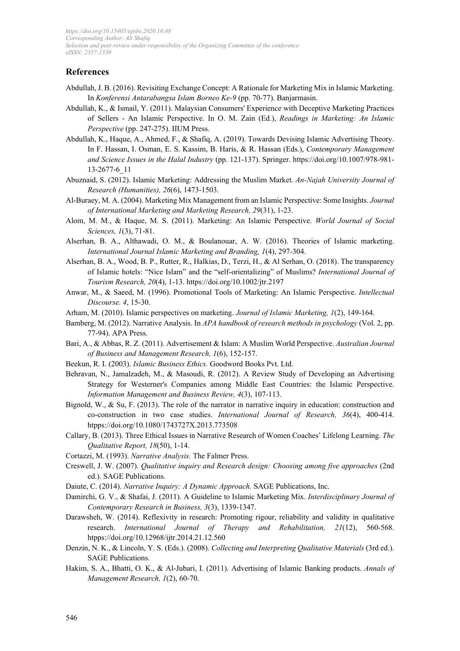#### **References**

- Abdullah, J. B. (2016). Revisiting Exchange Concept: A Rationale for Marketing Mix in Islamic Marketing.  In *Konferensi Antarabangsa Islam Borneo Ke-9* (pp. 70-77). Banjarmasin.
- Abdullah, K., & Ismail, Y. (2011). Malaysian Consumers' Experience with Deceptive Marketing Practices of Sellers - An Islamic Perspective. In O. M. Zain (Ed.), *Readings in Marketing: An Islamic Perspective* (pp. 247-275). IIUM Press.
- Abdullah, K., Haque, A., Ahmed, F., & Shafiq, A. (2019). Towards Devising Islamic Advertising Theory. In F. Hassan, I. Osman, E. S. Kassim, B. Haris, & R. Hassan (Eds.), *Contemporary Management and Science Issues in the Halal Industry* (pp. 121-137). Springer. https://doi.org/10.1007/978-981- 13-2677-6\_11
- Abuznaid, S. (2012). Islamic Marketing: Addressing the Muslim Market. *An-Najah University Journal of Research (Humanities), 26*(6), 1473-1503.
- Al-Buraey, M. A. (2004). Marketing Mix Management from an Islamic Perspective: Some Insights. *Journal of International Marketing and Marketing Research, 29*(31), 1-23.
- Alom, M. M., & Haque, M. S. (2011). Marketing: An Islamic Perspective. *World Journal of Social Sciences, 1*(3), 71-81.
- Alserhan, B. A., Althawadi, O. M., & Boulanouar, A. W. (2016). Theories of Islamic marketing.  *International Journal Islamic Marketing and Branding, 1*(4), 297-304.
- Alserhan, B. A., Wood, B. P., Rutter, R., Halkias, D., Terzi, H., & Al Serhan, O. (2018). The transparency of Islamic hotels: "Nice Islam" and the "self‐orientalizing" of Muslims? *International Journal of Tourism Research, 20*(4), 1-13. https://doi.org/10.1002/jtr.2197
- Anwar, M., & Saeed, M. (1996). Promotional Tools of Marketing: An Islamic Perspective. *Intellectual Discourse. 4*, 15-30.
- Arham, M. (2010). Islamic perspectives on marketing. *Journal of Islamic Marketing, 1*(2), 149-164.
- Bamberg, M. (2012). Narrative Analysis. In *APA handbook of research methods in psychology* (Vol. 2, pp. 77-94). APA Press.
- Bari, A., & Abbas, R. Z. (2011). Advertisement & Islam: A Muslim World Perspective. *Australian Journal of Business and Management Research, 1*(6), 152-157.
- Beekun, R. I. (2003). *Islamic Business Ethics.* Goodword Books Pvt. Ltd.
- Behravan, N., Jamalzadeh, M., & Masoudi, R. (2012). A Review Study of Developing an Advertising Strategy for Westerner's Companies among Middle East Countries: the Islamic Perspective.  *Information Management and Business Review, 4*(3), 107-113.
- Bignold, W., & Su, F. (2013). The role of the narrator in narrative inquiry in education: construction and co-construction in two case studies. *International Journal of Research, 36*(4), 400-414. htpps://doi.org/10.1080/1743727X.2013.773508
- Callary, B. (2013). Three Ethical Issues in Narrative Research of Women Coaches' Lifelong Learning. *The Qualitative Report, 18*(50), 1-14.
- Cortazzi, M. (1993). *Narrative Analysis.* The Falmer Press.
- Creswell, J. W. (2007). *Qualitative inquiry and Research design: Choosing among five approaches* (2nd ed.). SAGE Publications.
- Daiute, C. (2014). *Narrative Inquiry: A Dynamic Approach.* SAGE Publications, Inc.
- Damirchi, G. V., & Shafai, J. (2011). A Guideline to Islamic Marketing Mix. *Interdisciplinary Journal of Contemporary Research in Business, 3*(3), 1339-1347.
- Darawsheh, W. (2014). Reflexivity in research: Promoting rigour, reliability and validity in qualitative research. *International Journal of Therapy and Rehabilitation, 21*(12), 560-568. htpps://doi.org/10.12968/ijtr.2014.21.12.560
- Denzin, N. K., & Lincoln, Y. S. (Eds.). (2008). *Collecting and Interpreting Qualitative Materials* (3rd ed.). SAGE Publications.
- Hakim, S. A., Bhatti, O. K., & Al-Jubari, I. (2011). Advertising of Islamic Banking products. *Annals of Management Research, 1*(2), 60-70.